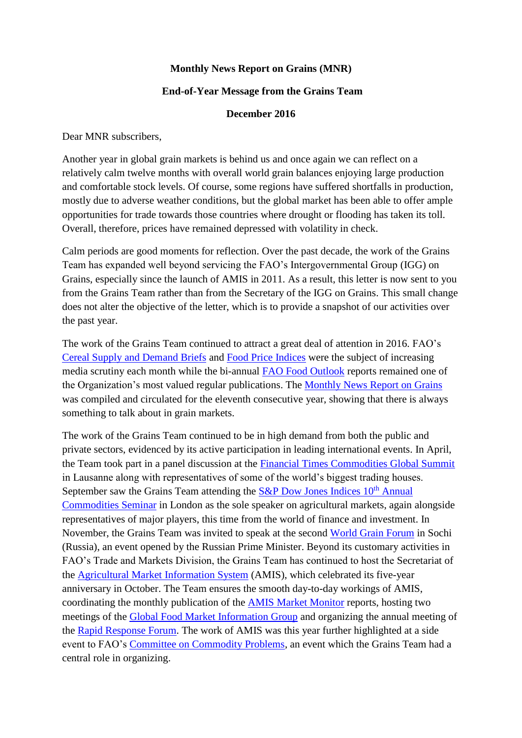## **Monthly News Report on Grains (MNR)**

## **End-of-Year Message from the Grains Team**

## **December 2016**

Dear MNR subscribers,

Another year in global grain markets is behind us and once again we can reflect on a relatively calm twelve months with overall world grain balances enjoying large production and comfortable stock levels. Of course, some regions have suffered shortfalls in production, mostly due to adverse weather conditions, but the global market has been able to offer ample opportunities for trade towards those countries where drought or flooding has taken its toll. Overall, therefore, prices have remained depressed with volatility in check.

Calm periods are good moments for reflection. Over the past decade, the work of the Grains Team has expanded well beyond servicing the FAO's Intergovernmental Group (IGG) on Grains, especially since the launch of AMIS in 2011. As a result, this letter is now sent to you from the Grains Team rather than from the Secretary of the IGG on Grains. This small change does not alter the objective of the letter, which is to provide a snapshot of our activities over the past year.

The work of the Grains Team continued to attract a great deal of attention in 2016. FAO's [Cereal Supply and Demand Briefs](http://www.fao.org/worldfoodsituation/csdb/en/) and [Food Price Indices](http://www.fao.org/worldfoodsituation/foodpricesindex/en/) were the subject of increasing media scrutiny each month while the bi-annual [FAO Food Outlook](http://www.fao.org/giews/english/fo/index.htm) reports remained one of the Organization's most valued regular publications. The [Monthly News Report on Grains](http://www.fao.org/economic/est/publications/grains-publications/monthly-news-report-on-grains-mnr/en/) was compiled and circulated for the eleventh consecutive year, showing that there is always something to talk about in grain markets.

The work of the Grains Team continued to be in high demand from both the public and private sectors, evidenced by its active participation in leading international events. In April, the Team took part in a panel discussion at the Financial Times [Commodities Global Summit](https://live.ft.com/Events/2016/FT-Commodities-Global-Summit-2016) in Lausanne along with representatives of some of the world's biggest trading houses. September saw the Grains Team attending the  $S\&P$  Dow Jones Indices 10<sup>th</sup> Annual [Commodities Seminar](http://us.spindices.com/sp-events/10th-annual-commodities-seminar) in London as the sole speaker on agricultural markets, again alongside representatives of major players, this time from the world of finance and investment. In November, the Grains Team was invited to speak at the second [World Grain Forum](http://wgforum.ru/en/) in Sochi (Russia), an event opened by the Russian Prime Minister. Beyond its customary activities in FAO's Trade and Markets Division, the Grains Team has continued to host the Secretariat of the [Agricultural Market Information System](http://www.amis-outlook.org/) (AMIS), which celebrated its five-year anniversary in October. The Team ensures the smooth day-to-day workings of AMIS, coordinating the monthly publication of the [AMIS Market Monitor](http://www.amis-outlook.org/amis-monitoring/monthly-report/en/) reports, hosting two meetings of the [Global Food Market Information Group](http://www.amis-outlook.org/events/information-group/en/) and organizing the annual meeting of the [Rapid Response Forum.](http://www.amis-outlook.org/events/rapid-response-forum/en/) The work of AMIS was this year further highlighted at a side event to FAO's [Committee on Commodity Problems,](http://www.amis-outlook.org/events/information-group/en/) an event which the Grains Team had a central role in organizing.